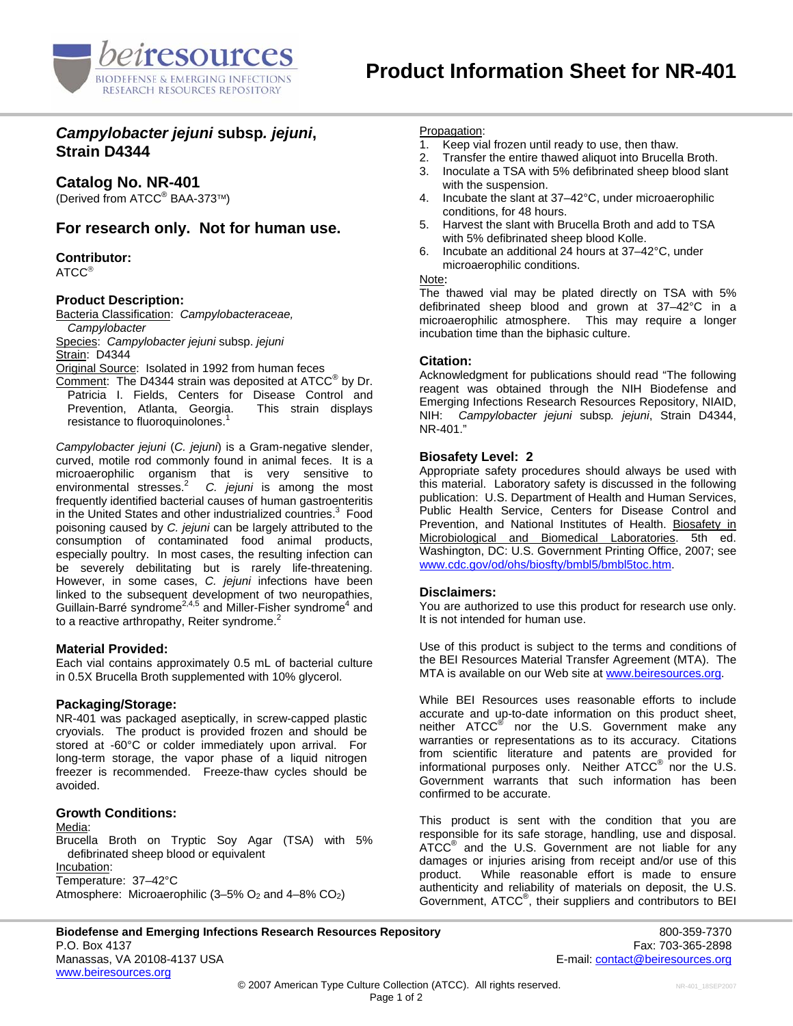

# *Campylobacter jejuni* **subsp***. jejuni***, Strain D4344**

# **Catalog No. NR-401**

(Derived from ATCC<sup>®</sup> BAA-373™)

# **For research only. Not for human use.**

## **Contributor:**

ATCC®

### **Product Description:**

Bacteria Classification: *Campylobacteraceae, Campylobacter* 

Species: *Campylobacter jejuni* subsp. *jejuni* **Strain: D4344** 

Original Source: Isolated in 1992 from human feces

Comment: The D4344 strain was deposited at ATCC<sup>®</sup> by Dr. Patricia I. Fields, Centers for Disease Control and Prevention, Atlanta, Georgia. This strain displays resistance to fluoroquinolones.<sup>1</sup>

*Campylobacter jejuni* (*C. jejuni*) is a Gram-negative slender, curved, motile rod commonly found in animal feces. It is a microaerophilic organism that is very sensitive to environmental stresses.<sup>2</sup> *C. jejuni* is among the most frequently identified bacterial causes of human gastroenteritis in the United States and other industrialized countries.<sup>3</sup> Food poisoning caused by *C. jejuni* can be largely attributed to the consumption of contaminated food animal products, especially poultry. In most cases, the resulting infection can be severely debilitating but is rarely life-threatening. However, in some cases, *C. jejuni* infections have been linked to the subsequent development of two neuropathies, Guillain-Barré syndrome<sup>2,4,5</sup> and Miller-Fisher syndrome<sup>4</sup> and to a reactive arthropathy, Reiter syndrome.<sup>2</sup>

## **Material Provided:**

Each vial contains approximately 0.5 mL of bacterial culture in 0.5X Brucella Broth supplemented with 10% glycerol.

## **Packaging/Storage:**

NR-401 was packaged aseptically, in screw-capped plastic cryovials. The product is provided frozen and should be stored at -60°C or colder immediately upon arrival. For long-term storage, the vapor phase of a liquid nitrogen freezer is recommended. Freeze-thaw cycles should be avoided.

#### **Growth Conditions:**

Media:

Brucella Broth on Tryptic Soy Agar (TSA) with 5% defibrinated sheep blood or equivalent Incubation: Temperature: 37–42°C Atmosphere: Microaerophilic  $(3-5\% \text{ O}_2 \text{ and } 4-8\% \text{ CO}_2)$ 

Propagation:

- 1. Keep vial frozen until ready to use, then thaw.
- 2. Transfer the entire thawed aliquot into Brucella Broth.
- 3. Inoculate a TSA with 5% defibrinated sheep blood slant with the suspension.
- 4. Incubate the slant at 37–42°C, under microaerophilic conditions, for 48 hours.
- 5. Harvest the slant with Brucella Broth and add to TSA with 5% defibrinated sheep blood Kolle.
- 6. Incubate an additional 24 hours at 37–42°C, under microaerophilic conditions.

#### Note:

The thawed vial may be plated directly on TSA with 5% defibrinated sheep blood and grown at 37–42°C in a microaerophilic atmosphere. This may require a longer incubation time than the biphasic culture.

### **Citation:**

Acknowledgment for publications should read "The following reagent was obtained through the NIH Biodefense and Emerging Infections Research Resources Repository, NIAID, NIH: *Campylobacter jejuni* subsp*. jejuni*, Strain D4344, NR-401."

## **Biosafety Level: 2**

Appropriate safety procedures should always be used with this material. Laboratory safety is discussed in the following publication: U.S. Department of Health and Human Services, Public Health Service, Centers for Disease Control and Prevention, and National Institutes of Health. Biosafety in Microbiological and Biomedical Laboratories. 5th ed. Washington, DC: U.S. Government Printing Office, 2007; see [www.cdc.gov/od/ohs/biosfty/bmbl5/bmbl5toc.htm.](http://www.cdc.gov/od/ohs/biosfty/bmbl5/bmbl5toc.htm)

#### **Disclaimers:**

You are authorized to use this product for research use only. It is not intended for human use.

Use of this product is subject to the terms and conditions of the BEI Resources Material Transfer Agreement (MTA). The MTA is available on our Web site at [www.beiresources.org](http://www.beiresources.org/).

While BEI Resources uses reasonable efforts to include accurate and up-to-date information on this product sheet, neither ATCC<sup>®</sup> nor the U.S. Government make any warranties or representations as to its accuracy. Citations from scientific literature and patents are provided for informational purposes only. Neither  $\tt ATCC^@$  nor the U.S. Government warrants that such information has been confirmed to be accurate.

This product is sent with the condition that you are responsible for its safe storage, handling, use and disposal. ATCC<sup>®</sup> and the U.S. Government are not liable for any damages or injuries arising from receipt and/or use of this product. While reasonable effort is made to ensure authenticity and reliability of materials on deposit, the U.S. Government, ATCC® , their suppliers and contributors to BEI